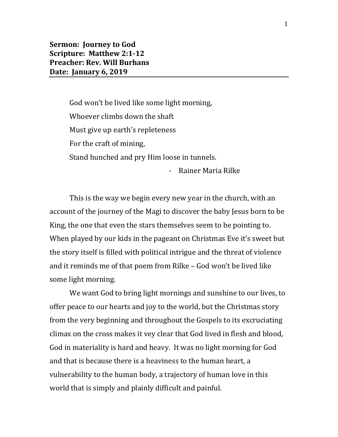God won't be lived like some light morning, Whoever climbs down the shaft Must give up earth's repleteness For the craft of mining, Stand hunched and pry Him loose in tunnels.

- Rainer Maria Rilke

This is the way we begin every new year in the church, with an account of the journey of the Magi to discover the baby Jesus born to be King, the one that even the stars themselves seem to be pointing to. When played by our kids in the pageant on Christmas Eve it's sweet but the story itself is filled with political intrigue and the threat of violence and it reminds me of that poem from Rilke – God won't be lived like some light morning.

We want God to bring light mornings and sunshine to our lives, to offer peace to our hearts and joy to the world, but the Christmas story from the very beginning and throughout the Gospels to its excruciating climax on the cross makes it vey clear that God lived in flesh and blood, God in materiality is hard and heavy. It was no light morning for God and that is because there is a heaviness to the human heart, a vulnerability to the human body, a trajectory of human love in this world that is simply and plainly difficult and painful.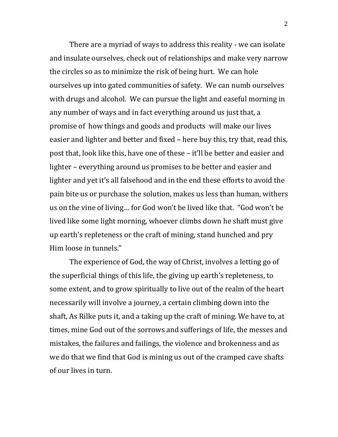There are a myriad of ways to address this reality - we can isolate and insulate ourselves, check out of relationships and make very narrow the circles so as to minimize the risk of being hurt. We can hole ourselves up into gated communities of safety. We can numb ourselves with drugs and alcohol. We can pursue the light and easeful morning in any number of ways and in fact everything around us just that, a promise of how things and goods and products will make our lives easier and lighter and better and fixed – here buy this, try that, read this, post that, look like this, have one of these – it'll be better and easier and lighter – everything around us promises to be better and easier and lighter and yet it's all falsehood and in the end these efforts to avoid the pain bite us or purchase the solution, makes us less than human, withers us on the vine of living… for God won't be lived like that. "God won't be lived like some light morning, whoever climbs down he shaft must give up earth's repleteness or the craft of mining, stand hunched and pry Him loose in tunnels."

The experience of God, the way of Christ, involves a letting go of the superficial things of this life, the giving up earth's repleteness, to some extent, and to grow spiritually to live out of the realm of the heart necessarily will involve a journey, a certain climbing down into the shaft, As Rilke puts it, and a taking up the craft of mining. We have to, at times, mine God out of the sorrows and sufferings of life, the messes and mistakes, the failures and failings, the violence and brokenness and as we do that we find that God is mining us out of the cramped cave shafts of our lives in turn.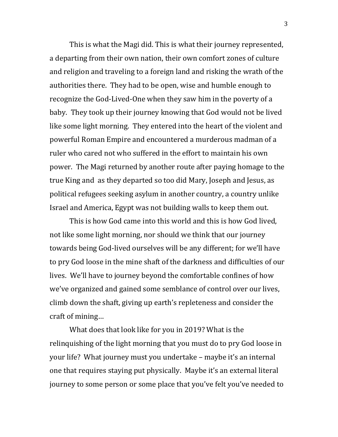This is what the Magi did. This is what their journey represented, a departing from their own nation, their own comfort zones of culture and religion and traveling to a foreign land and risking the wrath of the authorities there. They had to be open, wise and humble enough to recognize the God-Lived-One when they saw him in the poverty of a baby. They took up their journey knowing that God would not be lived like some light morning. They entered into the heart of the violent and powerful Roman Empire and encountered a murderous madman of a ruler who cared not who suffered in the effort to maintain his own power. The Magi returned by another route after paying homage to the true King and as they departed so too did Mary, Joseph and Jesus, as political refugees seeking asylum in another country, a country unlike Israel and America, Egypt was not building walls to keep them out.

This is how God came into this world and this is how God lived, not like some light morning, nor should we think that our journey towards being God-lived ourselves will be any different; for we'll have to pry God loose in the mine shaft of the darkness and difficulties of our lives. We'll have to journey beyond the comfortable confines of how we've organized and gained some semblance of control over our lives, climb down the shaft, giving up earth's repleteness and consider the craft of mining…

What does that look like for you in 2019? What is the relinquishing of the light morning that you must do to pry God loose in your life? What journey must you undertake – maybe it's an internal one that requires staying put physically. Maybe it's an external literal journey to some person or some place that you've felt you've needed to